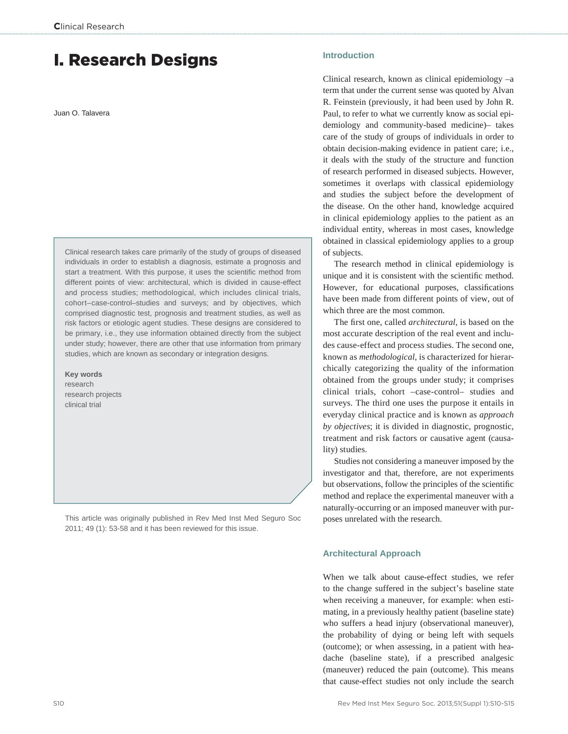# I. Research Designs

Juan O. Talavera

Clinical research takes care primarily of the study of groups of diseased individuals in order to establish a diagnosis, estimate a prognosis and start a treatment. With this purpose, it uses the scientific method from different points of view: architectural, which is divided in cause-effect and process studies; methodological, which includes clinical trials, cohort–case-control–studies and surveys; and by objectives, which comprised diagnostic test, prognosis and treatment studies, as well as risk factors or etiologic agent studies. These designs are considered to be primary, i.e., they use information obtained directly from the subject under study; however, there are other that use information from primary studies, which are known as secondary or integration designs.

**Key words** research research projects

clinical trial

This article was originally published in Rev Med Inst Med Seguro Soc 2011; 49 (1): 53-58 and it has been reviewed for this issue.

# **Introduction**

Clinical research, known as clinical epidemiology –a term that under the current sense was quoted by Alvan R. Feinstein (previously, it had been used by John R. Paul, to refer to what we currently know as social epidemiology and community-based medicine)– takes care of the study of groups of individuals in order to obtain decision-making evidence in patient care; i.e., it deals with the study of the structure and function of research performed in diseased subjects. However, sometimes it overlaps with classical epidemiology and studies the subject before the development of the disease. On the other hand, knowledge acquired in clinical epidemiology applies to the patient as an individual entity, whereas in most cases, knowledge obtained in classical epidemiology applies to a group of subjects.

The research method in clinical epidemiology is unique and it is consistent with the scientific method. However, for educational purposes, classifications have been made from different points of view, out of which three are the most common.

The first one, called *architectural*, is based on the most accurate description of the real event and includes cause-effect and process studies. The second one, known as *methodological*, is characterized for hierarchically categorizing the quality of the information obtained from the groups under study; it comprises clinical trials, cohort –case-control– studies and surveys. The third one uses the purpose it entails in everyday clinical practice and is known as *approach by objectives*; it is divided in diagnostic, prognostic, treatment and risk factors or causative agent (causality) studies.

Studies not considering a maneuver imposed by the investigator and that, therefore, are not experiments but observations, follow the principles of the scientific method and replace the experimental maneuver with a naturally-occurring or an imposed maneuver with purposes unrelated with the research.

# **Architectural Approach**

When we talk about cause-effect studies, we refer to the change suffered in the subject's baseline state when receiving a maneuver, for example: when estimating, in a previously healthy patient (baseline state) who suffers a head injury (observational maneuver), the probability of dying or being left with sequels (outcome); or when assessing, in a patient with headache (baseline state), if a prescribed analgesic (maneuver) reduced the pain (outcome). This means that cause-effect studies not only include the search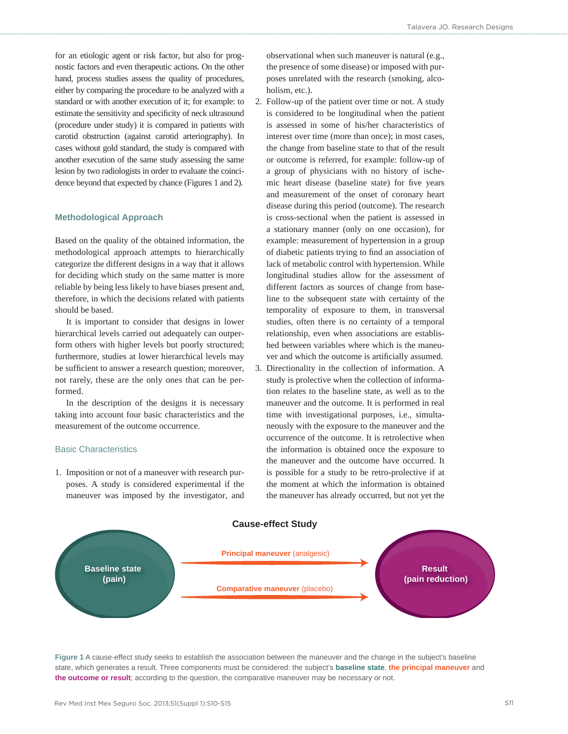for an etiologic agent or risk factor, but also for prognostic factors and even therapeutic actions. On the other hand, process studies assess the quality of procedures, either by comparing the procedure to be analyzed with a standard or with another execution of it; for example: to estimate the sensitivity and specificity of neck ultrasound (procedure under study) it is compared in patients with carotid obstruction (against carotid arteriography). In cases without gold standard, the study is compared with another execution of the same study assessing the same lesion by two radiologists in order to evaluate the coincidence beyond that expected by chance (Figures 1 and 2).

# **Methodological Approach**

Based on the quality of the obtained information, the methodological approach attempts to hierarchically categorize the different designs in a way that it allows for deciding which study on the same matter is more reliable by being less likely to have biases present and, therefore, in which the decisions related with patients should be based.

It is important to consider that designs in lower hierarchical levels carried out adequately can outperform others with higher levels but poorly structured; furthermore, studies at lower hierarchical levels may be sufficient to answer a research question; moreover, not rarely, these are the only ones that can be performed.

In the description of the designs it is necessary taking into account four basic characteristics and the measurement of the outcome occurrence.

# Basic Characteristics

1. Imposition or not of a maneuver with research purposes. A study is considered experimental if the maneuver was imposed by the investigator, and observational when such maneuver is natural (e.g., the presence of some disease) or imposed with purposes unrelated with the research (smoking, alcoholism, etc.).

- 2. Follow-up of the patient over time or not. A study is considered to be longitudinal when the patient is assessed in some of his/her characteristics of interest over time (more than once); in most cases, the change from baseline state to that of the result or outcome is referred, for example: follow-up of a group of physicians with no history of ischemic heart disease (baseline state) for five years and measurement of the onset of coronary heart disease during this period (outcome). The research is cross-sectional when the patient is assessed in a stationary manner (only on one occasion), for example: measurement of hypertension in a group of diabetic patients trying to find an association of lack of metabolic control with hypertension. While longitudinal studies allow for the assessment of different factors as sources of change from baseline to the subsequent state with certainty of the temporality of exposure to them, in transversal studies, often there is no certainty of a temporal relationship, even when associations are established between variables where which is the maneuver and which the outcome is artificially assumed.
- 3. Directionality in the collection of information. A study is prolective when the collection of information relates to the baseline state, as well as to the maneuver and the outcome. It is performed in real time with investigational purposes, i.e., simultaneously with the exposure to the maneuver and the occurrence of the outcome. It is retrolective when the information is obtained once the exposure to the maneuver and the outcome have occurred. It is possible for a study to be retro-prolective if at the moment at which the information is obtained the maneuver has already occurred, but not yet the



**Figure 1** A cause-effect study seeks to establish the association between the maneuver and the change in the subject's baseline state, which generates a result. Three components must be considered: the subject's **baseline state**, **the principal maneuver** and **the outcome or result**; according to the question, the comparative maneuver may be necessary or not.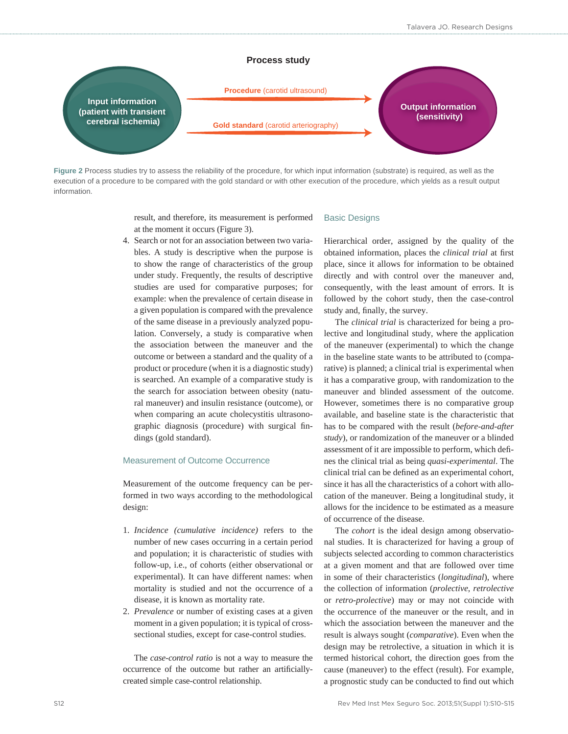

**Figure 2** Process studies try to assess the reliability of the procedure, for which input information (substrate) is required, as well as the execution of a procedure to be compared with the gold standard or with other execution of the procedure, which yields as a result output information.

> result, and therefore, its measurement is performed at the moment it occurs (Figure 3).

4. Search or not for an association between two variables. A study is descriptive when the purpose is to show the range of characteristics of the group under study. Frequently, the results of descriptive studies are used for comparative purposes; for example: when the prevalence of certain disease in a given population is compared with the prevalence of the same disease in a previously analyzed population. Conversely, a study is comparative when the association between the maneuver and the outcome or between a standard and the quality of a product or procedure (when it is a diagnostic study) is searched. An example of a comparative study is the search for association between obesity (natural maneuver) and insulin resistance (outcome), or when comparing an acute cholecystitis ultrasonographic diagnosis (procedure) with surgical findings (gold standard).

# Measurement of Outcome Occurrence

Measurement of the outcome frequency can be performed in two ways according to the methodological design:

- 1. *Incidence (cumulative incidence)* refers to the number of new cases occurring in a certain period and population; it is characteristic of studies with follow-up, i.e., of cohorts (either observational or experimental). It can have different names: when mortality is studied and not the occurrence of a disease, it is known as mortality rate.
- 2. *Prevalence* or number of existing cases at a given moment in a given population; it is typical of crosssectional studies, except for case-control studies.

The *case-control ratio* is not a way to measure the occurrence of the outcome but rather an artificiallycreated simple case-control relationship.

# Basic Designs

Hierarchical order, assigned by the quality of the obtained information, places the *clinical trial* at first place, since it allows for information to be obtained directly and with control over the maneuver and, consequently, with the least amount of errors. It is followed by the cohort study, then the case-control study and, finally, the survey.

The *clinical trial* is characterized for being a prolective and longitudinal study, where the application of the maneuver (experimental) to which the change in the baseline state wants to be attributed to (comparative) is planned; a clinical trial is experimental when it has a comparative group, with randomization to the maneuver and blinded assessment of the outcome. However, sometimes there is no comparative group available, and baseline state is the characteristic that has to be compared with the result (*before-and-after study*), or randomization of the maneuver or a blinded assessment of it are impossible to perform, which defines the clinical trial as being *quasi-experimental*. The clinical trial can be defined as an experimental cohort, since it has all the characteristics of a cohort with allocation of the maneuver. Being a longitudinal study, it allows for the incidence to be estimated as a measure of occurrence of the disease.

The *cohort* is the ideal design among observational studies. It is characterized for having a group of subjects selected according to common characteristics at a given moment and that are followed over time in some of their characteristics (*longitudinal*), where the collection of information (*prolective*, *retrolective*  or *retro-prolective*) may or may not coincide with the occurrence of the maneuver or the result, and in which the association between the maneuver and the result is always sought (*comparative*). Even when the design may be retrolective, a situation in which it is termed historical cohort, the direction goes from the cause (maneuver) to the effect (result). For example, a prognostic study can be conducted to find out which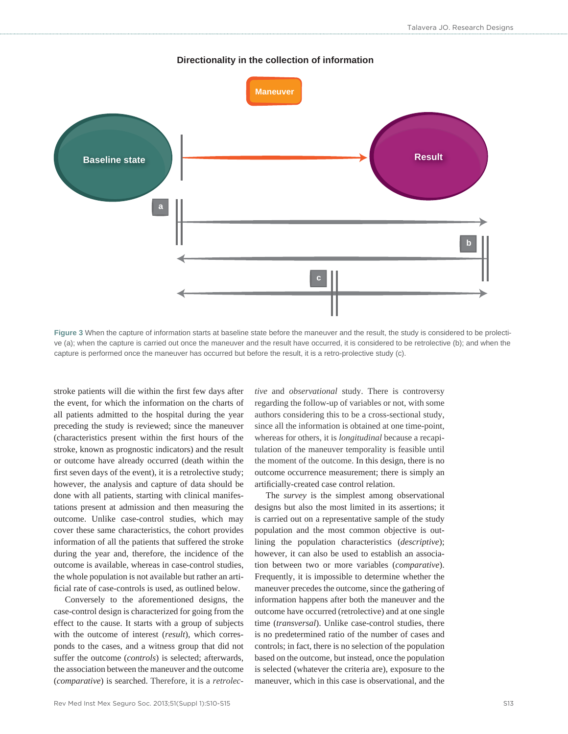# **Baseline state Result Maneuver a b**

# **Directionality in the collection of information**

**Figure 3** When the capture of information starts at baseline state before the maneuver and the result, the study is considered to be prolective (a); when the capture is carried out once the maneuver and the result have occurred, it is considered to be retrolective (b); and when the capture is performed once the maneuver has occurred but before the result, it is a retro-prolective study (c).

stroke patients will die within the first few days after the event, for which the information on the charts of all patients admitted to the hospital during the year preceding the study is reviewed; since the maneuver (characteristics present within the first hours of the stroke, known as prognostic indicators) and the result or outcome have already occurred (death within the first seven days of the event), it is a retrolective study; however, the analysis and capture of data should be done with all patients, starting with clinical manifestations present at admission and then measuring the outcome. Unlike case-control studies, which may cover these same characteristics, the cohort provides information of all the patients that suffered the stroke during the year and, therefore, the incidence of the outcome is available, whereas in case-control studies, the whole population is not available but rather an artificial rate of case-controls is used, as outlined below.

Conversely to the aforementioned designs, the case-control design is characterized for going from the effect to the cause. It starts with a group of subjects with the outcome of interest (*result*), which corresponds to the cases, and a witness group that did not suffer the outcome (*controls*) is selected; afterwards, the association between the maneuver and the outcome (*comparative*) is searched. Therefore, it is a *retrolec-*

*tive* and *observational* study. There is controversy regarding the follow-up of variables or not, with some authors considering this to be a cross-sectional study, since all the information is obtained at one time-point, whereas for others, it is *longitudinal* because a recapitulation of the maneuver temporality is feasible until the moment of the outcome. In this design, there is no outcome occurrence measurement; there is simply an artificially-created case control relation.

The *survey* is the simplest among observational designs but also the most limited in its assertions; it is carried out on a representative sample of the study population and the most common objective is outlining the population characteristics (*descriptive*); however, it can also be used to establish an association between two or more variables (*comparative*). Frequently, it is impossible to determine whether the maneuver precedes the outcome, since the gathering of information happens after both the maneuver and the outcome have occurred (retrolective) and at one single time (*transversal*). Unlike case-control studies, there is no predetermined ratio of the number of cases and controls; in fact, there is no selection of the population based on the outcome, but instead, once the population is selected (whatever the criteria are), exposure to the maneuver, which in this case is observational, and the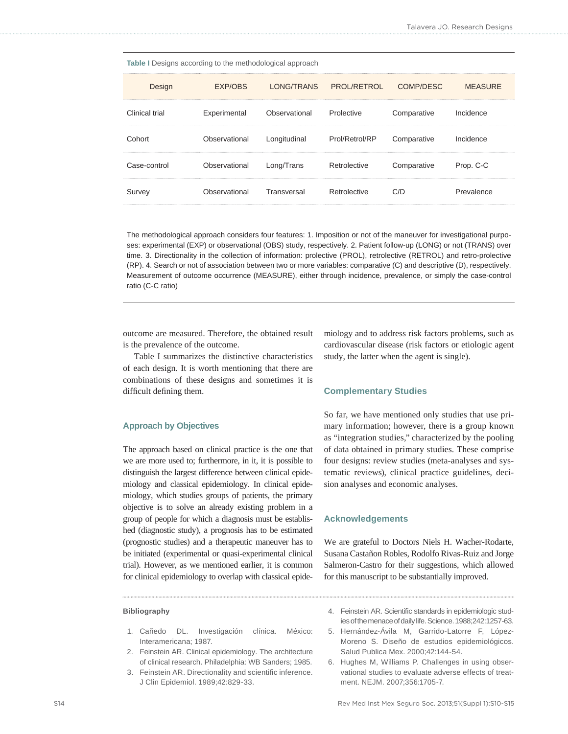|  | Table I Designs according to the methodological approach |  |
|--|----------------------------------------------------------|--|
|  |                                                          |  |

| Design                | EXP/OBS                  |                                         | LONG/TRANS PROL/RETROL COMP/DESC |                       | <b>MEASURE</b> |
|-----------------------|--------------------------|-----------------------------------------|----------------------------------|-----------------------|----------------|
| <b>Clinical trial</b> |                          | Experimental Observational Prolective   |                                  | Comparative           | Incidence      |
| Cohort                | Observational            | Longitudinal Prol/Retrol/RP Comparative |                                  |                       | Incidence      |
| Case-control          | Observational Long/Trans |                                         | Retrolective                     | Comparative Prop. C-C |                |
| Survey                |                          | Observational Transversal               | Retrolective                     |                       | Prevalence     |

The methodological approach considers four features: 1. Imposition or not of the maneuver for investigational purposes: experimental (EXP) or observational (OBS) study, respectively. 2. Patient follow-up (LONG) or not (TRANS) over time. 3. Directionality in the collection of information: prolective (PROL), retrolective (RETROL) and retro-prolective (RP). 4. Search or not of association between two or more variables: comparative (C) and descriptive (D), respectively. Measurement of outcome occurrence (MEASURE), either through incidence, prevalence, or simply the case-control ratio (C-C ratio)

outcome are measured. Therefore, the obtained result is the prevalence of the outcome.

Table I summarizes the distinctive characteristics of each design. It is worth mentioning that there are combinations of these designs and sometimes it is difficult defining them.

# **Approach by Objectives**

The approach based on clinical practice is the one that we are more used to; furthermore, in it, it is possible to distinguish the largest difference between clinical epidemiology and classical epidemiology. In clinical epidemiology, which studies groups of patients, the primary objective is to solve an already existing problem in a group of people for which a diagnosis must be established (diagnostic study), a prognosis has to be estimated (prognostic studies) and a therapeutic maneuver has to be initiated (experimental or quasi-experimental clinical trial). However, as we mentioned earlier, it is common for clinical epidemiology to overlap with classical epide-

#### **Bibliography**

- 1. Cañedo DL. Investigación clínica. México: Interamericana; 1987.
- 2. Feinstein AR. Clinical epidemiology. The architecture of clinical research. Philadelphia: WB Sanders; 1985.
- 3. Feinstein AR. Directionality and scientific inference. J Clin Epidemiol. 1989;42:829-33.

miology and to address risk factors problems, such as cardiovascular disease (risk factors or etiologic agent study, the latter when the agent is single).

#### **Complementary Studies**

So far, we have mentioned only studies that use primary information; however, there is a group known as "integration studies," characterized by the pooling of data obtained in primary studies. These comprise four designs: review studies (meta-analyses and systematic reviews), clinical practice guidelines, decision analyses and economic analyses.

#### **Acknowledgements**

We are grateful to Doctors Niels H. Wacher-Rodarte, Susana Castañon Robles, Rodolfo Rivas-Ruiz and Jorge Salmeron-Castro for their suggestions, which allowed for this manuscript to be substantially improved.

- 4. Feinstein AR. Scientific standards in epidemiologic studies of the menace of daily life. Science. 1988;242:1257-63.
- 5. Hernández-Ávila M, Garrido-Latorre F, López-Moreno S. Diseño de estudios epidemiológicos. Salud Publica Mex. 2000;42:144-54.
- 6. Hughes M, Williams P. Challenges in using observational studies to evaluate adverse effects of treatment. NEJM. 2007;356:1705-7.